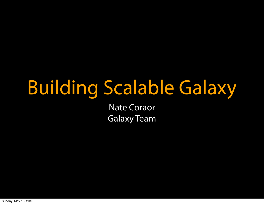# Building Scalable Galaxy

Nate Coraor Galaxy Team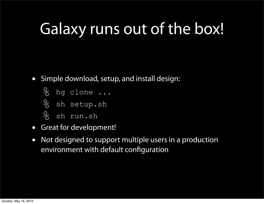#### Galaxy runs out of the box!

- Simple download, setup, and install design:
	- $\frac{0}{0}$  hg clone ...
	- % sh setup.sh
	- $%$  sh run.sh
- Great for development!
- Not designed to support multiple users in a production environment with default configuration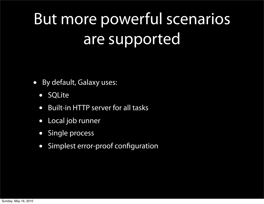# But more powerful scenarios are supported

- By default, Galaxy uses:
	- SQLite
	- Built-in HTTP server for all tasks
	- Local job runner
	- Single process
	- Simplest error-proof configuration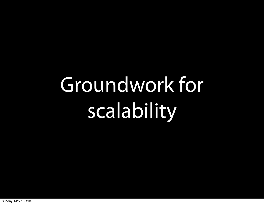# Groundwork for scalability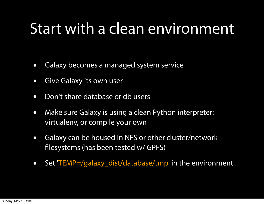#### Start with a clean environment

- Galaxy becomes a managed system service
- Give Galaxy its own user
- Don't share database or db users
- Make sure Galaxy is using a clean Python interpreter: virtualenv, or compile your own
- Galaxy can be housed in NFS or other cluster/network filesystems (has been tested w/ GPFS)
- Set 'TEMP=/galaxy\_dist/database/tmp' in the environment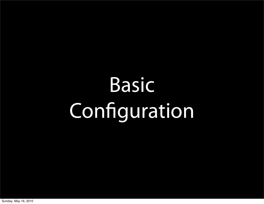# Basic Configuration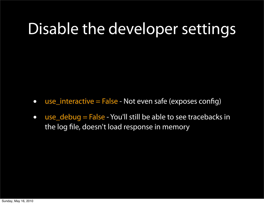#### Disable the developer settings

- use\_interactive  $=$  False Not even safe (exposes config)
- use\_debug = False You'll still be able to see tracebacks in the log file, doesn't load response in memory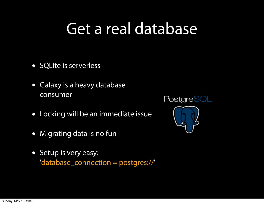#### Get a real database

- SQLite is serverless
- Galaxy is a heavy database consumer
- Locking will be an immediate issue
- Migrating data is no fun
- Setup is very easy: 'database\_connection = postgres://'

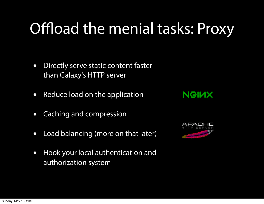### Offload the menial tasks: Proxy

- Directly serve static content faster than Galaxy's HTTP server
- Reduce load on the application
- Caching and compression
- Load balancing (more on that later)
- Hook your local authentication and authorization system



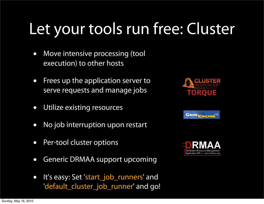### Let your tools run free: Cluster

- Move intensive processing (tool execution) to other hosts
- Frees up the application server to serve requests and manage jobs
- Utilize existing resources
- No job interruption upon restart
- Per-tool cluster options
- Generic DRMAA support upcoming
- It's easy: Set 'start\_job\_runners' and 'default\_cluster\_job\_runner' and go!





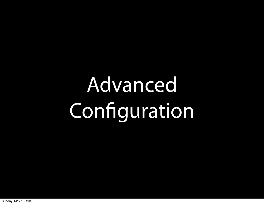# Advanced Configuration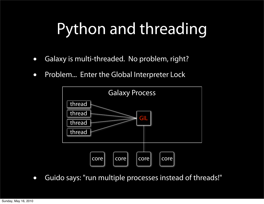# Python and threading

- Galaxy is multi-threaded. No problem, right?
- Problem... Enter the Global Interpreter Lock



• Guido says: "run multiple processes instead of threads!"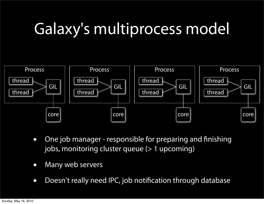### Galaxy's multiprocess model



- One job manager responsible for preparing and finishing jobs, monitoring cluster queue (> 1 upcoming)
- Many web servers
- Doesn't really need IPC, job notification through database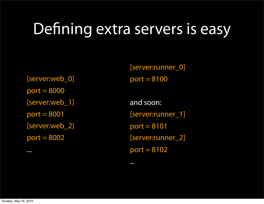#### Defining extra servers is easy

 $\bullet\bullet\bullet$ 

[server:web\_0] port = 8000 [server:web\_1] port = 8001 [server:web\_2]  $port = 8002$ 

[server:runner\_0] port = 8100

and soon: [server:runner\_1] port = 8101 [server:runner\_2]  $port = 8102$ 

...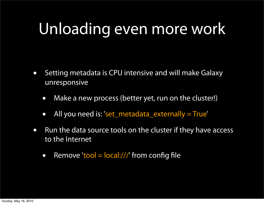### Unloading even more work

- Setting metadata is CPU intensive and will make Galaxy unresponsive
	- Make a new process (better yet, run on the cluster!)
	- All you need is: 'set\_metadata\_externally = True'
- Run the data source tools on the cluster if they have access to the Internet
	- Remove 'tool  $=$  local:///' from config file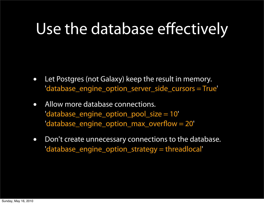#### Use the database effectively

- Let Postgres (not Galaxy) keep the result in memory. 'database\_engine\_option\_server\_side\_cursors = True'
- Allow more database connections. 'database\_engine\_option\_pool\_size = 10' 'database\_engine\_option\_max\_overflow = 20'
- Don't create unnecessary connections to the database. 'database\_engine\_option\_strategy = threadlocal'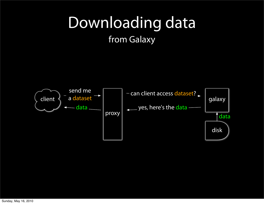### Downloading data

from Galaxy

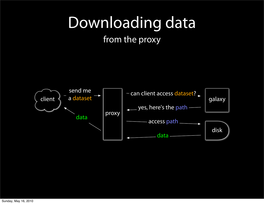### Downloading data

from the proxy

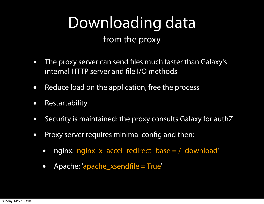# Downloading data

#### from the proxy

- The proxy server can send files much faster than Galaxy's internal HTTP server and file I/O methods
- Reduce load on the application, free the process
- Restartability
- Security is maintained: the proxy consults Galaxy for authZ
- Proxy server requires minimal config and then:
	- nginx: 'nginx\_x\_accel\_redirect\_base = /\_download'
	- Apache: 'apache\_xsendfile = True'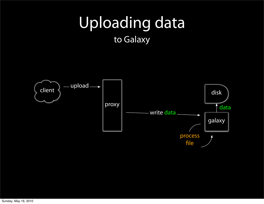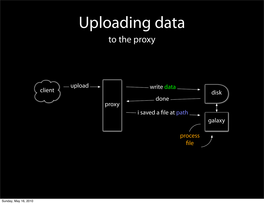# Uploading data

to the proxy

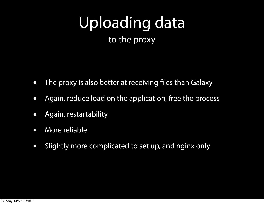#### Uploading data to the proxy

- The proxy is also better at receiving files than Galaxy
- Again, reduce load on the application, free the process
- Again, restartability
- More reliable
- Slightly more complicated to set up, and nginx only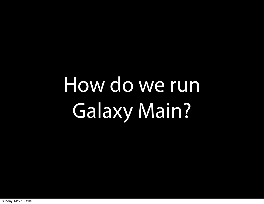# How do we run Galaxy Main?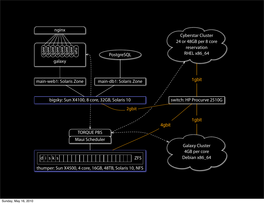